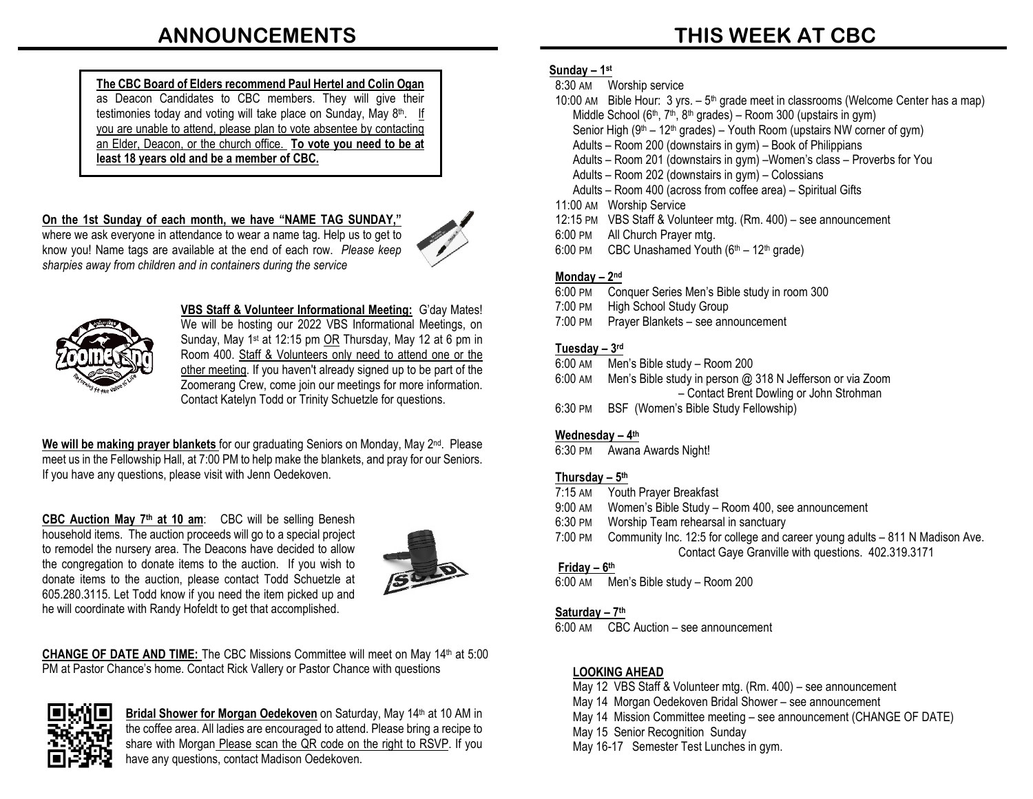### **ANNOUNCEMENTS**

**The CBC Board of Elders recommend Paul Hertel and Colin Ogan**  as Deacon Candidates to CBC members. They will give their testimonies today and voting will take place on Sunday, May 8th.If you are unable to attend, please plan to vote absentee by contacting an Elder, Deacon, or the church office. **To vote you need to be at least 18 years old and be a member of CBC.** 

**On the 1st Sunday of each month, we have "NAME TAG SUNDAY,"** where we ask everyone in attendance to wear a name tag. Help us to get to know you! Name tags are available at the end of each row. *Please keep sharpies away from children and in containers during the service*





**VBS Staff & Volunteer Informational Meeting:** G'day Mates! We will be hosting our 2022 VBS Informational Meetings, on Sunday, May 1st at 12:15 pm OR Thursday, May 12 at 6 pm in Room 400. Staff & Volunteers only need to attend one or the other meeting. If you haven't already signed up to be part of the Zoomerang Crew, come join our meetings for more information. Contact Katelyn Todd or Trinity Schuetzle for questions.

We will be making prayer blankets for our graduating Seniors on Monday, May 2<sup>nd</sup>. Please meet us in the Fellowship Hall, at 7:00 PM to help make the blankets, and pray for our Seniors. If you have any questions, please visit with Jenn Oedekoven.

**CBC Auction May 7th at 10 am**: CBC will be selling Benesh household items. The auction proceeds will go to a special project to remodel the nursery area. The Deacons have decided to allow the congregation to donate items to the auction. If you wish to donate items to the auction, please contact Todd Schuetzle at 605.280.3115. Let Todd know if you need the item picked up and he will coordinate with Randy Hofeldt to get that accomplished.



**CHANGE OF DATE AND TIME:** The CBC Missions Committee will meet on May 14th at 5:00 PM at Pastor Chance's home. Contact Rick Vallery or Pastor Chance with questions



Bridal Shower for Morgan Oedekoven on Saturday, May 14<sup>th</sup> at 10 AM in the coffee area. All ladies are encouraged to attend. Please bring a recipe to share with Morgan Please scan the QR code on the right to RSVP. If you have any questions, contact Madison Oedekoven.

## **THIS WEEK AT CBC**

#### **Sunday – 1st**

- 8:30 AM Worship service
- 10:00 AM Bible Hour:  $3 \text{ yrs.} 5^{\text{th}}$  grade meet in classrooms (Welcome Center has a map) Middle School ( $6<sup>th</sup>$ ,  $7<sup>th</sup>$ ,  $8<sup>th</sup>$  grades) – Room 300 (upstairs in gym) Senior High ( $9<sup>th</sup> - 12<sup>th</sup>$  grades) – Youth Room (upstairs NW corner of gym) Adults – Room 200 (downstairs in gym) – Book of Philippians Adults – Room 201 (downstairs in gym) –Women's class – Proverbs for You Adults – Room 202 (downstairs in gym) – Colossians Adults – Room 400 (across from coffee area) – Spiritual Gifts 11:00 AM Worship Service 12:15 PM VBS Staff & Volunteer mtg. (Rm. 400) – see announcement
- 6:00 PM All Church Prayer mtg.
- 6:00 PM CBC Unashamed Youth  $(6<sup>th</sup> 12<sup>th</sup>$  grade)

#### **Monday – 2nd**

- 6:00 PM Conquer Series Men's Bible study in room 300
- 7:00 PM High School Study Group
- 7:00 PM Prayer Blankets see announcement

#### **Tuesday – 3rd**

- 6:00 AM Men's Bible study Room 200
- 6:00 AM Men's Bible study in person @ 318 N Jefferson or via Zoom – Contact Brent Dowling or John Strohman
- 6:30 PM BSF (Women's Bible Study Fellowship)

#### **Wednesday – 4th**

6:30 PM Awana Awards Night!

#### **Thursday – 5th**

- 7:15 AM Youth Prayer Breakfast
- 9:00 AM Women's Bible Study Room 400, see announcement
- 6:30 PM Worship Team rehearsal in sanctuary
- 7:00 PM Community Inc. 12:5 for college and career young adults 811 N Madison Ave. Contact Gaye Granville with questions. 402.319.3171

#### **Friday – 6th**

6:00 AM Men's Bible study – Room 200

#### **Saturday – 7th**

6:00 AM CBC Auction – see announcement

#### **LOOKING AHEAD**

- May 12 VBS Staff & Volunteer mtg. (Rm. 400) see announcement
- May 14 Morgan Oedekoven Bridal Shower see announcement
- May 14 Mission Committee meeting see announcement (CHANGE OF DATE)
- May 15 Senior Recognition Sunday
- May 16-17 Semester Test Lunches in gym.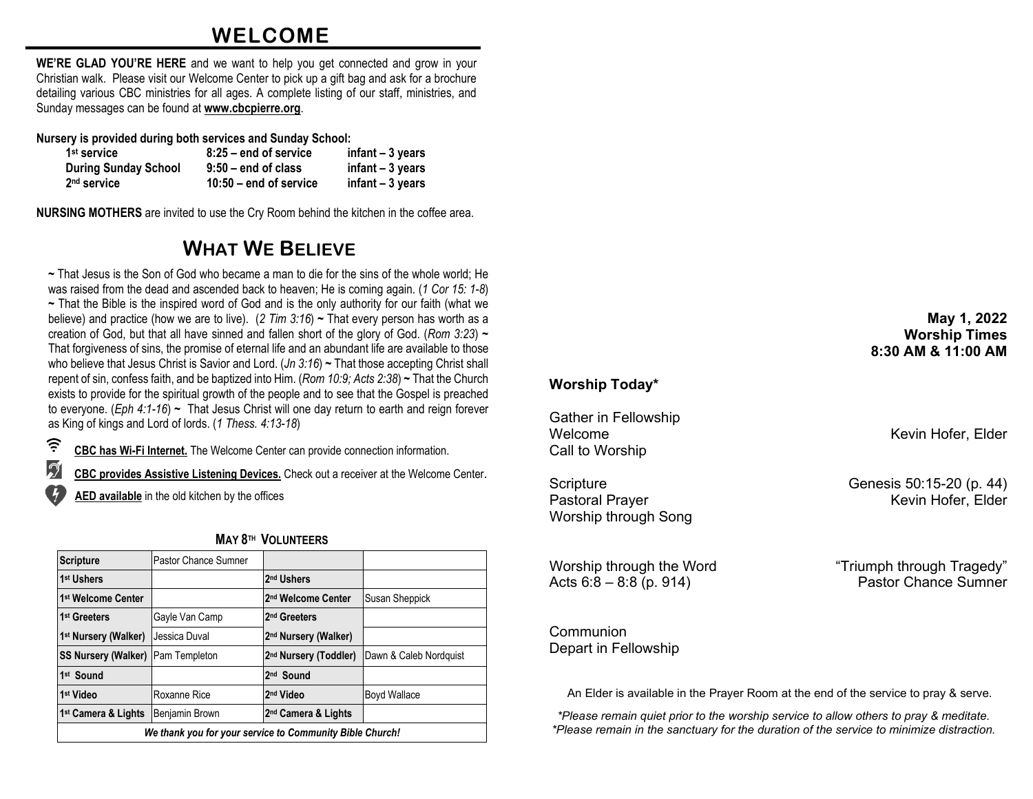### **WELCOME**

**WE'RE GLAD YOU'RE HERE** and we want to help you get connected and grow in your Christian walk. Please visit our Welcome Center to pick up a gift bag and ask for a brochure detailing various CBC ministries for all ages. A complete listing of our staff, ministries, and Sunday messages can be found at **[www.cbcpierre.org](http://www.cbcpierre.org/)**.

**Nursery is provided during both services and Sunday School:**

| 1 <sup>st</sup> service     | $8:25$ – end of service  | $infant - 3 years$ |
|-----------------------------|--------------------------|--------------------|
| <b>During Sunday School</b> | $9:50 -$ end of class    | $infant - 3 years$ |
| 2 <sup>nd</sup> service     | $10:50$ – end of service | $infant - 3 years$ |

**NURSING MOTHERS** are invited to use the Cry Room behind the kitchen in the coffee area.

### **WHAT WE BELIEVE**

**~** That Jesus is the Son of God who became a man to die for the sins of the whole world; He was raised from the dead and ascended back to heaven; He is coming again. (*1 Cor 15: 1-8*) **~** That the Bible is the inspired word of God and is the only authority for our faith (what we believe) and practice (how we are to live). (*2 Tim 3:16*) **~** That every person has worth as a creation of God, but that all have sinned and fallen short of the glory of God. (*Rom 3:23*) **~** That forgiveness of sins, the promise of eternal life and an abundant life are available to those who believe that Jesus Christ is Savior and Lord. (*Jn 3:16*) **~** That those accepting Christ shall repent of sin, confess faith, and be baptized into Him. (*Rom 10:9; Acts 2:38*) **~** That the Church exists to provide for the spiritual growth of the people and to see that the Gospel is preached to everyone. (*Eph 4:1-16*) **~** That Jesus Christ will one day return to earth and reign forever as King of kings and Lord of lords. (*1 Thess. 4:13-18*)

 $\widehat{\tau}$ **CBC has Wi-Fi Internet.** The Welcome Center can provide connection information.

 $\mathcal{D}$ **CBC provides Assistive Listening Devices.** Check out a receiver at the Welcome Center.

**AED available** in the old kitchen by the offices

| <b>Scripture</b>                                         | Pastor Chance Sumner |                                   |                        |  |  |
|----------------------------------------------------------|----------------------|-----------------------------------|------------------------|--|--|
| 1 <sup>st</sup> Ushers                                   |                      | 2 <sup>nd</sup> Ushers            |                        |  |  |
| 1 <sup>st</sup> Welcome Center                           |                      | 2 <sup>nd</sup> Welcome Center    | Susan Sheppick         |  |  |
| 1 <sup>st</sup> Greeters                                 | Gayle Van Camp       | I2 <sup>nd</sup> Greeters         |                        |  |  |
| 1 <sup>st</sup> Nursery (Walker)                         | Jessica Duval        | 2 <sup>nd</sup> Nursery (Walker)  |                        |  |  |
| <b>SS Nursery (Walker) Pam Templeton</b>                 |                      | 2 <sup>nd</sup> Nursery (Toddler) | Dawn & Caleb Nordquist |  |  |
| 1st Sound                                                |                      | 2 <sup>nd</sup> Sound             |                        |  |  |
| 1 <sup>st</sup> Video                                    | Roxanne Rice         | 2 <sup>nd</sup> Video             | Boyd Wallace           |  |  |
| 1 <sup>st</sup> Camera & Lights                          | Benjamin Brown       | 2 <sup>nd</sup> Camera & Lights   |                        |  |  |
| We thank you for your service to Community Bible Church! |                      |                                   |                        |  |  |

#### **MAY 8TH VOLUNTEERS**

#### **May 1, 2022 Worship Times 8:30 AM & 11:00 AM**

#### **Worship Today\***

Gather in Fellowship Welcome Welcome **Kevin Hofer**, Elder Call to Worship

Worship through Song

Acts  $6:8 - 8:8$  (p. 914)

Communion Depart in Fellowship

An Elder is available in the Prayer Room at the end of the service to pray & serve.

*\*Please remain quiet prior to the worship service to allow others to pray & meditate. \*Please remain in the sanctuary for the duration of the service to minimize distraction.*

Scripture Genesis 50:15-20 (p. 44)<br>Pastoral Prayer Genesis 50:15-20 (p. 44) Kevin Hofer, Elder

Worship through the Word "Triumph through Tragedy"<br>Acts 6:8 – 8:8 (p. 914) Pastor Chance Sumner